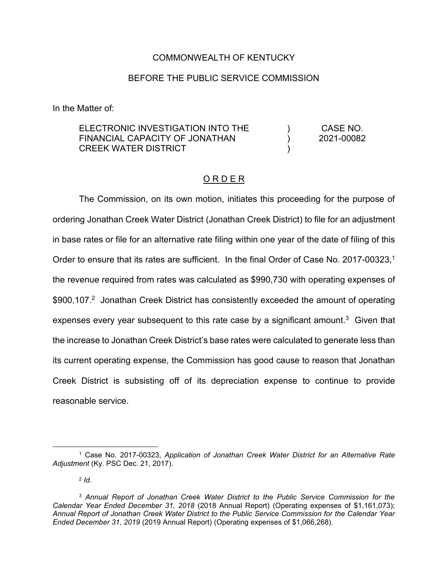#### COMMONWEALTH OF KENTUCKY

#### BEFORE THE PUBLIC SERVICE COMMISSION

In the Matter of:

| ELECTRONIC INVESTIGATION INTO THE | CASE NO.   |
|-----------------------------------|------------|
| FINANCIAL CAPACITY OF JONATHAN    | 2021-00082 |
| CREEK WATER DISTRICT              |            |

#### O R D E R

The Commission, on its own motion, initiates this proceeding for the purpose of ordering Jonathan Creek Water District (Jonathan Creek District) to file for an adjustment in base rates or file for an alternative rate filing within one year of the date of filing of this Order to ensure that its rates are sufficient. In the final Order of Case No. 2017-00323,<sup>1</sup> the revenue required from rates was calculated as \$990,730 with operating expenses of \$900,107.<sup>2</sup> Jonathan Creek District has consistently exceeded the amount of operating expenses every year subsequent to this rate case by a significant amount.<sup>3</sup> Given that the increase to Jonathan Creek District's base rates were calculated to generate less than its current operating expense, the Commission has good cause to reason that Jonathan Creek District is subsisting off of its depreciation expense to continue to provide reasonable service.

<sup>2</sup> *Id*.

<sup>1</sup> Case No. 2017-00323, *Application of Jonathan Creek Water District for an Alternative Rate Adjustment* (Ky. PSC Dec. 21, 2017).

<sup>3</sup> *Annual Report of Jonathan Creek Water District to the Public Service Commission for the Calendar Year Ended December 31, 2018* (2018 Annual Report) (Operating expenses of \$1,161,073); *Annual Report of Jonathan Creek Water District to the Public Service Commission for the Calendar Year Ended December 31, 2019* (2019 Annual Report) (Operating expenses of \$1,066,268).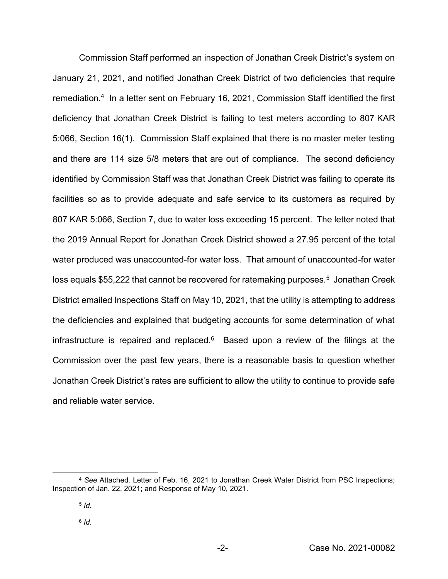Commission Staff performed an inspection of Jonathan Creek District's system on January 21, 2021, and notified Jonathan Creek District of two deficiencies that require remediation.4 In a letter sent on February 16, 2021, Commission Staff identified the first deficiency that Jonathan Creek District is failing to test meters according to 807 KAR 5:066, Section 16(1). Commission Staff explained that there is no master meter testing and there are 114 size 5/8 meters that are out of compliance. The second deficiency identified by Commission Staff was that Jonathan Creek District was failing to operate its facilities so as to provide adequate and safe service to its customers as required by 807 KAR 5:066, Section 7, due to water loss exceeding 15 percent. The letter noted that the 2019 Annual Report for Jonathan Creek District showed a 27.95 percent of the total water produced was unaccounted-for water loss. That amount of unaccounted-for water loss equals \$55,222 that cannot be recovered for ratemaking purposes.<sup>5</sup> Jonathan Creek District emailed Inspections Staff on May 10, 2021, that the utility is attempting to address the deficiencies and explained that budgeting accounts for some determination of what infrastructure is repaired and replaced. $6$  Based upon a review of the filings at the Commission over the past few years, there is a reasonable basis to question whether Jonathan Creek District's rates are sufficient to allow the utility to continue to provide safe and reliable water service.

<sup>4</sup> *See* Attached. Letter of Feb. 16, 2021 to Jonathan Creek Water District from PSC Inspections; Inspection of Jan. 22, 2021; and Response of May 10, 2021.

<sup>5</sup> *Id.*

<sup>6</sup> *Id.*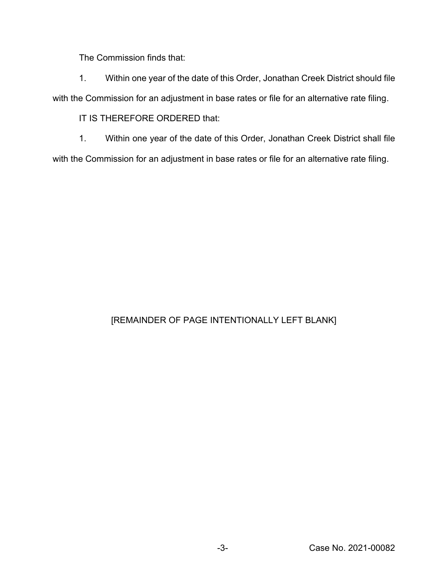The Commission finds that:

1. Within one year of the date of this Order, Jonathan Creek District should file with the Commission for an adjustment in base rates or file for an alternative rate filing.

IT IS THEREFORE ORDERED that:

1. Within one year of the date of this Order, Jonathan Creek District shall file with the Commission for an adjustment in base rates or file for an alternative rate filing.

## [REMAINDER OF PAGE INTENTIONALLY LEFT BLANK]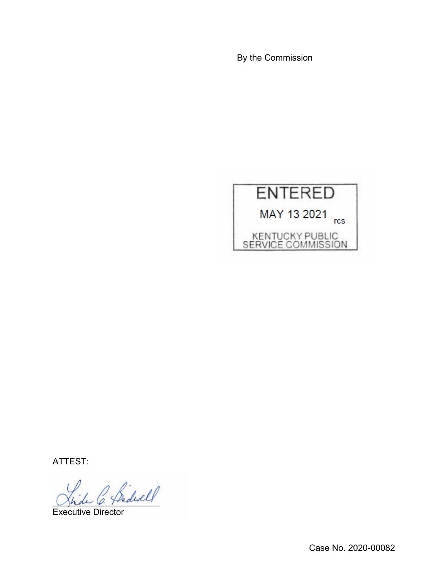By the Commission



ATTEST:

 $^2$  Sidwell

Executive Director

Case No. 2020-00082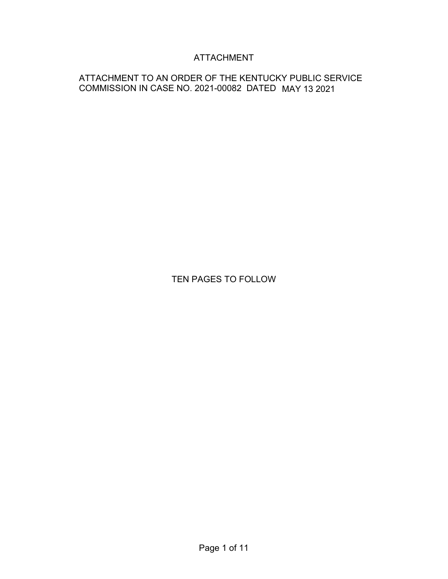## ATTACHMENT

### ATTACHMENT TO AN ORDER OF THE KENTUCKY PUBLIC SERVICE COMMISSION IN CASE NO. 2021-00082 DATED MAY 13 2021

## TEN PAGES TO FOLLOW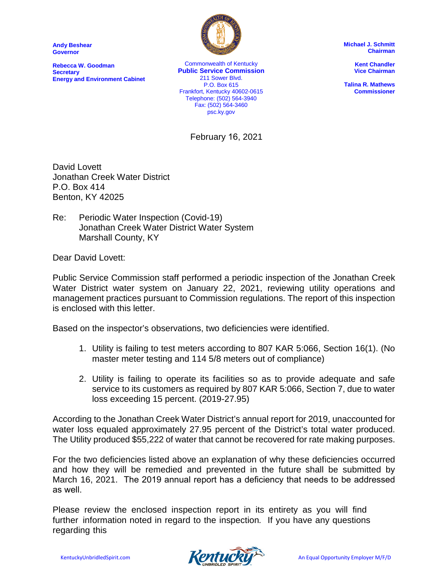**Andy Beshear Governor**

**Rebecca W. Goodman Secretary Energy and Environment Cabinet**



Commonwealth of Kentucky **Public Service Commission** 211 Sower Blvd. P.O. Box 615 Frankfort, Kentucky 40602-0615 Telephone: (502) 564-3940 Fax: (502) 564-3460 psc.ky.gov

February 16, 2021

**Michael J. Schmitt Chairman**

> **Kent Chandler Vice Chairman**

**Talina R. Mathews Commissioner**

David Lovett Jonathan Creek Water District P.O. Box 414 Benton, KY 42025

Re: Periodic Water Inspection (Covid-19) Jonathan Creek Water District Water System Marshall County, KY

Dear David Lovett:

Public Service Commission staff performed a periodic inspection of the Jonathan Creek Water District water system on January 22, 2021, reviewing utility operations and management practices pursuant to Commission regulations. The report of this inspection is enclosed with this letter.

Based on the inspector's observations, two deficiencies were identified.

- 1. Utility is failing to test meters according to 807 KAR 5:066, Section 16(1). (No master meter testing and 114 5/8 meters out of compliance)
- 2. Utility is failing to operate its facilities so as to provide adequate and safe service to its customers as required by 807 KAR 5:066, Section 7, due to water loss exceeding 15 percent. (2019-27.95)

According to the Jonathan Creek Water District's annual report for 2019, unaccounted for water loss equaled approximately 27.95 percent of the District's total water produced. The Utility produced \$55,222 of water that cannot be recovered for rate making purposes.

For the two deficiencies listed above an explanation of why these deficiencies occurred and how they will be remedied and prevented in the future shall be submitted by March 16, 2021. The 2019 annual report has a deficiency that needs to be addressed as well.

Please review the enclosed inspection report in its entirety as you will find further information noted in regard to the inspection*.* If you have any questions regarding this

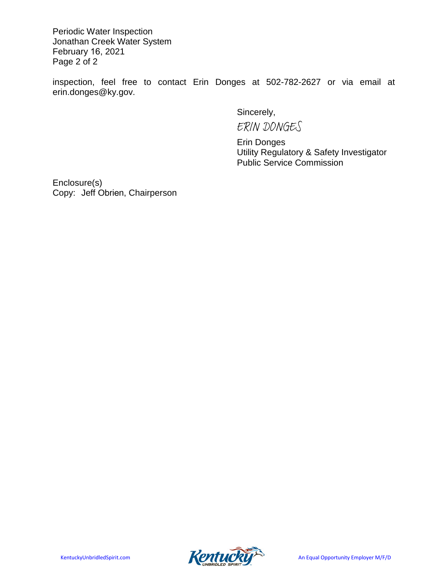Periodic Water Inspection Jonathan Creek Water System February 16, 2021 Page 2 of 2

inspection, feel free to contact Erin Donges at 502-782-2627 or via email at erin.donges@ky.gov.

Sincerely,

ERIN DONGES

Erin Donges Utility Regulatory & Safety Investigator Public Service Commission

Enclosure(s) Copy: Jeff Obrien, Chairperson

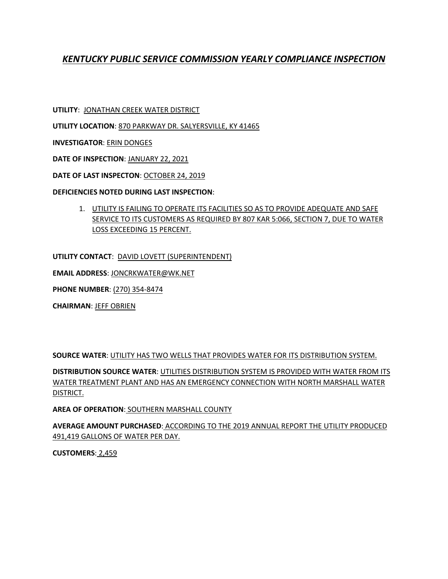## *KENTUCKY PUBLIC SERVICE COMMISSION YEARLY COMPLIANCE INSPECTION*

**UTILITY**: JONATHAN CREEK WATER DISTRICT

**UTILITY LOCATION**: 870 PARKWAY DR. SALYERSVILLE, KY 41465

**INVESTIGATOR**: ERIN DONGES

**DATE OF INSPECTION**: JANUARY 22, 2021

**DATE OF LAST INSPECTON**: OCTOBER 24, 2019

#### **DEFICIENCIES NOTED DURING LAST INSPECTION**:

1. UTILITY IS FAILING TO OPERATE ITS FACILITIES SO AS TO PROVIDE ADEQUATE AND SAFE SERVICE TO ITS CUSTOMERS AS REQUIRED BY 807 KAR 5:066, SECTION 7, DUE TO WATER LOSS EXCEEDING 15 PERCENT.

**UTILITY CONTACT**: DAVID LOVETT (SUPERINTENDENT)

**EMAIL ADDRESS**: JONCRKWATER@WK.NET

**PHONE NUMBER**: (270) 354-8474

**CHAIRMAN**: JEFF OBRIEN

**SOURCE WATER**: UTILITY HAS TWO WELLS THAT PROVIDES WATER FOR ITS DISTRIBUTION SYSTEM.

**DISTRIBUTION SOURCE WATER**: UTILITIES DISTRIBUTION SYSTEM IS PROVIDED WITH WATER FROM ITS WATER TREATMENT PLANT AND HAS AN EMERGENCY CONNECTION WITH NORTH MARSHALL WATER DISTRICT.

**AREA OF OPERATION**: SOUTHERN MARSHALL COUNTY

**AVERAGE AMOUNT PURCHASED**: ACCORDING TO THE 2019 ANNUAL REPORT THE UTILITY PRODUCED 491,419 GALLONS OF WATER PER DAY.

**CUSTOMERS**: 2,459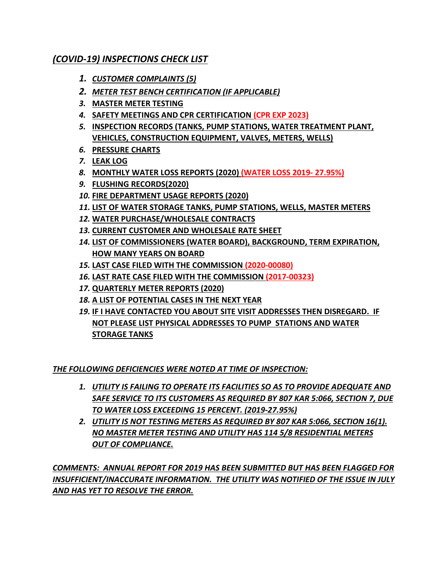## *(COVID-19) INSPECTIONS CHECK LIST*

- *1. CUSTOMER COMPLAINTS (5)*
- *2. METER TEST BENCH CERTIFICATION (IF APPLICABLE)*
- *3.* **MASTER METER TESTING**
- *4.* **SAFETY MEETINGS AND CPR CERTIFICATION (CPR EXP 2023)**
- *5.* **INSPECTION RECORDS (TANKS, PUMP STATIONS, WATER TREATMENT PLANT, VEHICLES, CONSTRUCTION EQUIPMENT, VALVES, METERS, WELLS)**
- *6.* **PRESSURE CHARTS**
- *7.* **LEAK LOG**
- *8.* **MONTHLY WATER LOSS REPORTS (2020) (WATER LOSS 2019- 27.95%)**
- *9.* **FLUSHING RECORDS(2020)**
- *10.* **FIRE DEPARTMENT USAGE REPORTS (2020)**
- *11.* **LIST OF WATER STORAGE TANKS, PUMP STATIONS, WELLS, MASTER METERS**
- *12.* **WATER PURCHASE/WHOLESALE CONTRACTS**
- *13.* **CURRENT CUSTOMER AND WHOLESALE RATE SHEET**
- *14.* **LIST OF COMMISSIONERS (WATER BOARD), BACKGROUND, TERM EXPIRATION, HOW MANY YEARS ON BOARD**
- *15.* **LAST CASE FILED WITH THE COMMISSION (2020-00080)**
- *16.* **LAST RATE CASE FILED WITH THE COMMISSION (2017-00323)**
- *17.* **QUARTERLY METER REPORTS (2020)**
- *18.* **A LIST OF POTENTIAL CASES IN THE NEXT YEAR**
- *19.* **IF I HAVE CONTACTED YOU ABOUT SITE VISIT ADDRESSES THEN DISREGARD. IF NOT PLEASE LIST PHYSICAL ADDRESSES TO PUMP STATIONS AND WATER STORAGE TANKS**

*THE FOLLOWING DEFICIENCIES WERE NOTED AT TIME OF INSPECTION:*

- *1. UTILITY IS FAILING TO OPERATE ITS FACILITIES SO AS TO PROVIDE ADEQUATE AND SAFE SERVICE TO ITS CUSTOMERS AS REQUIRED BY 807 KAR 5:066, SECTION 7, DUE TO WATER LOSS EXCEEDING 15 PERCENT. (2019-27.95%)*
- *2. UTILITY IS NOT TESTING METERS AS REQUIRED BY 807 KAR 5:066, SECTION 16(1). NO MASTER METER TESTING AND UTILITY HAS 114 5/8 RESIDENTIAL METERS OUT OF COMPLIANCE.*

*COMMENTS: ANNUAL REPORT FOR 2019 HAS BEEN SUBMITTED BUT HAS BEEN FLAGGED FOR INSUFFICIENT/INACCURATE INFORMATION. THE UTILITY WAS NOTIFIED OF THE ISSUE IN JULY AND HAS YET TO RESOLVE THE ERROR.*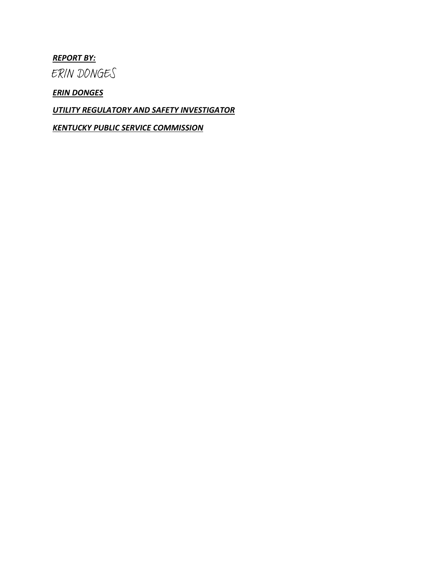#### *REPORT BY:*

ERIN DONGES

*ERIN DONGES*

*UTILITY REGULATORY AND SAFETY INVESTIGATOR*

*KENTUCKY PUBLIC SERVICE COMMISSION*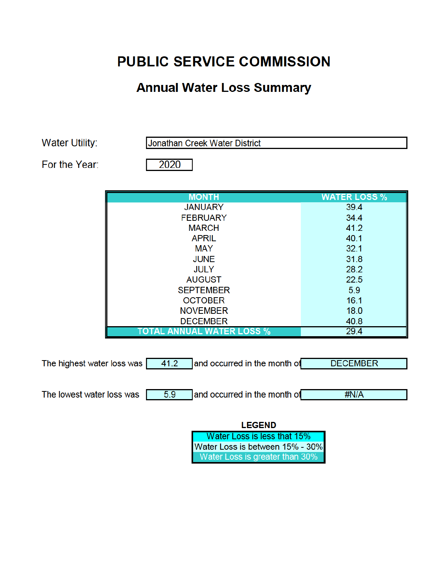# **PUBLIC SERVICE COMMISSION**

# **Annual Water Loss Summary**

Water Utility:

Jonathan Creek Water District

For the Year:

2020

| <b>MONTH</b>                     | <b>WATER LOSS %</b> |
|----------------------------------|---------------------|
| <b>JANUARY</b>                   | 39.4                |
| <b>FEBRUARY</b>                  | 34.4                |
| <b>MARCH</b>                     | 41.2                |
| <b>APRIL</b>                     | 40.1                |
| <b>MAY</b>                       | 32.1                |
| <b>JUNE</b>                      | 31.8                |
| <b>JULY</b>                      | 28.2                |
| <b>AUGUST</b>                    | 22.5                |
| <b>SEPTEMBER</b>                 | 5.9                 |
| <b>OCTOBER</b>                   | 16.1                |
| <b>NOVEMBER</b>                  | 18.0                |
| <b>DECEMBER</b>                  | 40.8                |
| <b>TOTAL ANNUAL WATER LOSS %</b> | 29.4                |

| The highest water loss was | 41.2 | and occurred in the month of | <b>DECEMBER</b> |
|----------------------------|------|------------------------------|-----------------|
|                            |      |                              |                 |
| The lowest water loss was  | 5.9  | and occurred in the month of | #N/A            |
|                            |      |                              |                 |
|                            |      | LECEND                       |                 |

| LEVEND                           |  |  |
|----------------------------------|--|--|
| Г<br>Water Loss is less that 15% |  |  |
| Water Loss is between 15% - 30%  |  |  |
| Water Loss is greater than 30%   |  |  |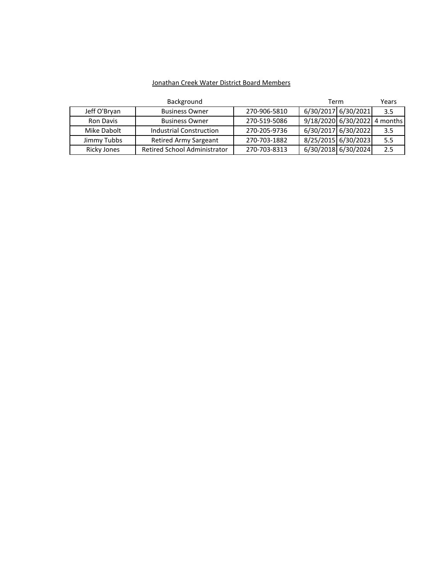#### Jonathan Creek Water District Board Members

| Background   |                              |              | Term |                     | Years    |
|--------------|------------------------------|--------------|------|---------------------|----------|
| Jeff O'Bryan | <b>Business Owner</b>        | 270-906-5810 |      | 6/30/2017 6/30/2021 | 3.5      |
| Ron Davis    | <b>Business Owner</b>        | 270-519-5086 |      | 9/18/2020 6/30/2022 | 4 months |
| Mike Dabolt  | Industrial Construction      | 270-205-9736 |      | 6/30/2017 6/30/2022 | 3.5      |
| Jimmy Tubbs  | <b>Retired Army Sargeant</b> | 270-703-1882 |      | 8/25/2015 6/30/2023 | 5.5      |
| Ricky Jones  | Retired School Administrator | 270-703-8313 |      | 6/30/2018 6/30/2024 | 2.5      |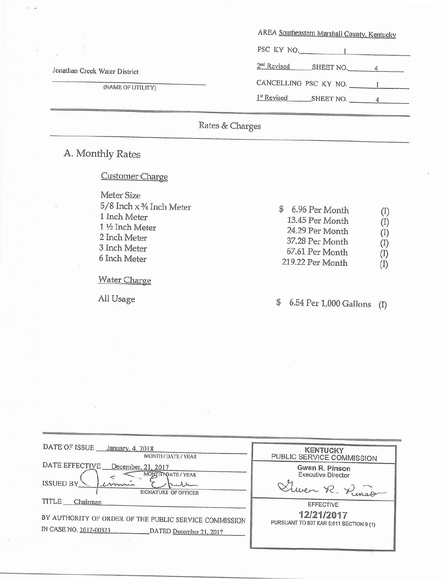|                               | AREA Southeastern Marshall County, Kentucky |  |
|-------------------------------|---------------------------------------------|--|
|                               | PSC KY NO.                                  |  |
| Jonathan Creek Water District | $2nd$ Revised<br>SHEET NO.                  |  |
| (NAME OF UTILITY)             | CANCELLING PSC KY NO.                       |  |
|                               | 1 <sup>st</sup> Revised<br>SHEET NO.        |  |
|                               |                                             |  |

Rates & Charges

# A. Monthly Rates

 $\tilde{\omega}$ 

## Customer Charge

| Meter Size                         |                  |                            |
|------------------------------------|------------------|----------------------------|
| $5/8$ Inch $\times$ 3/4 Inch Meter | 6.96 Per Month   |                            |
| 1 Inch Meter                       | 13.45 Per Month  | $\left( \mathrm{I}\right)$ |
| 1 1/2 Inch Meter                   | 24.29 Per Month  | (1)                        |
| 2 Inch Meter                       | 37.28 Per Month  | $\left( 1\right)$          |
| 3 Inch Meter                       | 67.61 Per Month  | (1)                        |
| 6 Inch Meter                       | 219.22 Per Month | $(\mathrm{I})$             |
|                                    |                  |                            |

Water Charge

All Usage

6.54 Per 1,000 Gallons (I)  $\mathbb{S}$ 

| DATE OF ISSUE<br>January, 4, 2018<br>MONTH / DATE / YEAR                                                                         | <b>KENTUCKY</b><br>PUBLIC SERVICE COMMISSION                              |
|----------------------------------------------------------------------------------------------------------------------------------|---------------------------------------------------------------------------|
| DATE EFFECTIVE<br>December, 21, 2017<br>MONTH NDATE / YEAR<br>ISSUED BY<br>Limme<br>SIGNATURE OF OFFICER                         | Gwen R. Pinson<br><b>Executive Director</b><br>There R. Renson            |
| TITLE<br>Chairman<br>BY AUTHORITY OF ORDER OF THE PUBLIC SERVICE COMMISSION<br>IN CASE NO. 2017-00323<br>DATED December 21, 2017 | <b>EFFECTIVE</b><br>12/21/2017<br>PURSUANT TO 807 KAR 5:011 SECTION 9 (1) |

Ø,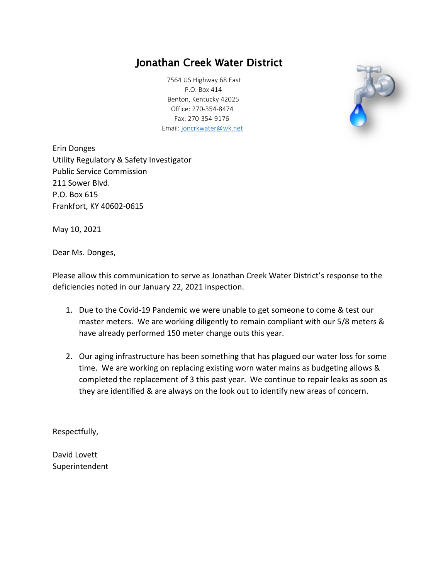## Jonathan Creek Water District

 7564 US Highway 68 East P.O. Box 414 Benton, Kentucky 42025 Office: 270-354-8474 Fax: 270-354-9176 Email: joncrkwater@wk.net



Erin Donges Utility Regulatory & Safety Investigator Public Service Commission 211 Sower Blvd. P.O. Box 615 Frankfort, KY 40602-0615

May 10, 2021

Dear Ms. Donges,

Please allow this communication to serve as Jonathan Creek Water District's response to the deficiencies noted in our January 22, 2021 inspection.

- 1. Due to the Covid-19 Pandemic we were unable to get someone to come & test our master meters. We are working diligently to remain compliant with our 5/8 meters & have already performed 150 meter change outs this year.
- 2. Our aging infrastructure has been something that has plagued our water loss for some time. We are working on replacing existing worn water mains as budgeting allows & completed the replacement of 3 this past year. We continue to repair leaks as soon as they are identified & are always on the look out to identify new areas of concern.

Respectfully,

David Lovett Superintendent